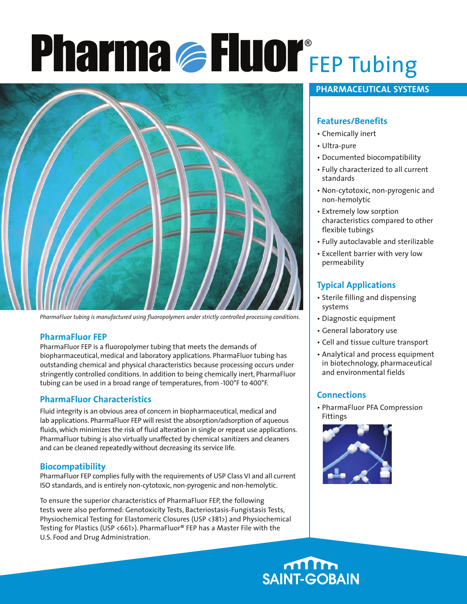# FEP Tubing ®



*PharmaFluor tubing is manufactured using fluoropolymers under strictly controlled processing conditions.*

# **PharmaFluor FEP**

PharmaFluor FEP is a fluoropolymer tubing that meets the demands of biopharmaceutical, medical and laboratory applications. PharmaFluor tubing has outstanding chemical and physical characteristics because processing occurs under stringently controlled conditions. In addition to being chemically inert, PharmaFluor tubing can be used in a broad range of temperatures, from -100°F to 400°F.

# **PharmaFluor Characteristics**

Fluid integrity is an obvious area of concern in biopharmaceutical, medical and lab applications. PharmaFluor FEP will resist the absorption/adsorption of aqueous fluids, which minimizes the risk of fluid alteration in single or repeat use applications. PharmaFluor tubing is also virtually unaffected by chemical sanitizers and cleaners and can be cleaned repeatedly without decreasing its service life.

#### **Biocompatibility**

PharmaFluor FEP complies fully with the requirements of USP Class VI and all current ISO standards, and is entirely non-cytotoxic, non-pyrogenic and non-hemolytic.

To ensure the superior characteristics of PharmaFluor FEP, the following tests were also performed: Genotoxicity Tests, Bacteriostasis-Fungistasis Tests, Physiochemical Testing for Elastomeric Closures (USP <381>) and Physiochemical Testing for Plastics (USP <661>). PharmaFluor® FEP has a Master File with the U.S. Food and Drug Administration.

# **PHARMACEUTICAL SYSTEMS**

# **Features/Benefits**

- Chemically inert
- Ultra-pure
- Documented biocompatibility
- Fully characterized to all current standards
- Non-cytotoxic, non-pyrogenic and non-hemolytic
- Extremely low sorption characteristics compared to other flexible tubings
- Fully autoclavable and sterilizable
- Excellent barrier with very low permeability

# **Typical Applications**

- Sterile filling and dispensing systems
- Diagnostic equipment
- General laboratory use
- Cell and tissue culture transport
- Analytical and process equipment in biotechnology, pharmaceutical and environmental fields

# **Connections**

• PharmaFluor PFA Compression Fittings